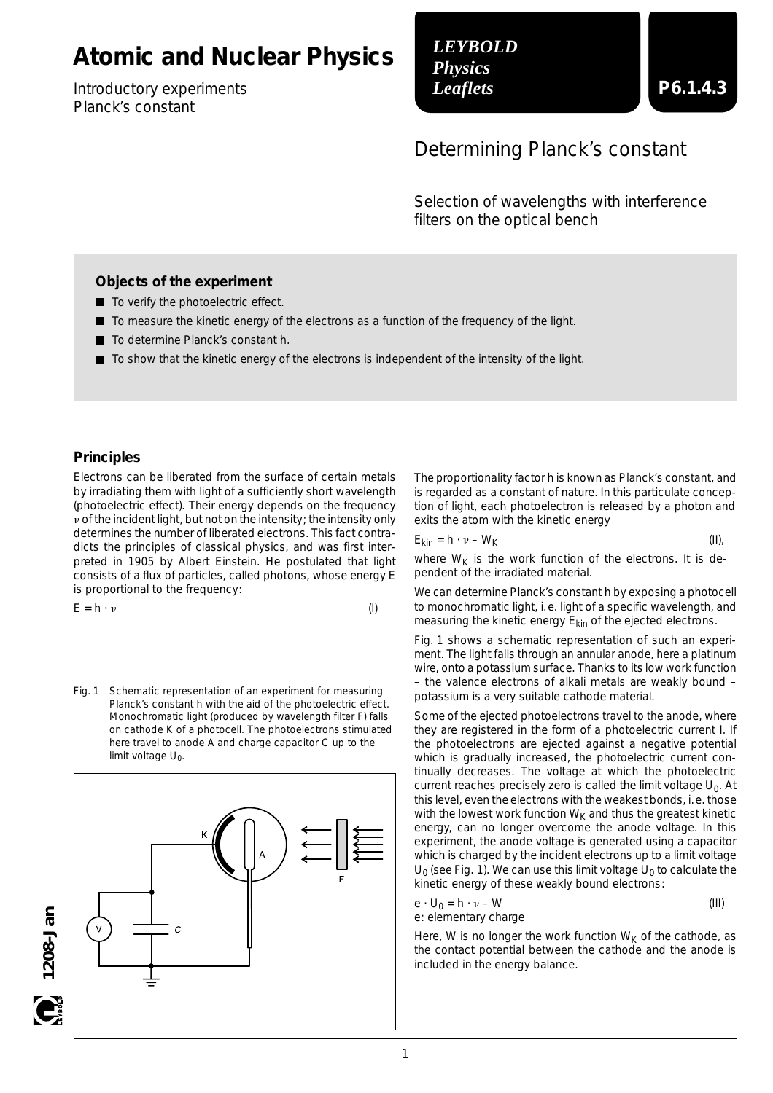# **Atomic and Nuclear Physics**

Introductory experiments *Planck's constant*

*LEYBOLD Physics Leaflets*

## Determining Planck's constant

Selection of wavelengths with interference filters on the optical bench

#### **Objects of the experiment**

- To verify the photoelectric effect.
- $\blacksquare$  To measure the kinetic energy of the electrons as a function of the frequency of the light.
- To determine Planck's constant *h*.
- To show that the kinetic energy of the electrons is independent of the intensity of the light.

#### **Principles**

Electrons can be liberated from the surface of certain metals by irradiating them with light of a sufficiently short wavelength (photoelectric effect). Their energy depends on the frequency  $\nu$  of the incident light, but not on the intensity; the intensity only determines the number of liberated electrons. This fact contradicts the principles of classical physics, and was first interpreted in 1905 by Albert Einstein. He postulated that light consists of a flux of particles, called photons, whose energy *E* is proportional to the frequency:

$$
E = h \cdot \nu \tag{I}
$$

Fig. 1 Schematic representation of an experiment for measuring Planck's constant *h* with the aid of the photoelectric effect. Monochromatic light (produced by wavelength filter F) falls on cathode K of a photocell. The photoelectrons stimulated here travel to anode A and charge capacitor C up to the limit voltage U<sub>0</sub>.



The proportionality factor *h* is known as Planck's constant, and is regarded as a constant of nature. In this particulate conception of light, each photoelectron is released by a photon and exits the atom with the kinetic energy

$$
E_{\rm kin} = h \cdot \nu - W_{\rm K} \tag{II},
$$

where  $W_K$  is the work function of the electrons. It is dependent of the irradiated material.

We can determine Planck's constant *h* by exposing a photocell to monochromatic light, i.e. light of a specific wavelength, and measuring the kinetic energy  $E_{kin}$  of the ejected electrons.

Fig. 1 shows a schematic representation of such an experiment. The light falls through an annular anode, here a platinum wire, onto a potassium surface. Thanks to its low work function – the valence electrons of alkali metals are weakly bound – potassium is a very suitable cathode material.

Some of the ejected photoelectrons travel to the anode, where they are registered in the form of a photoelectric current *I.* If the photoelectrons are ejected against a negative potential which is gradually increased, the photoelectric current continually decreases. The voltage at which the photoelectric current reaches precisely zero is called the limit voltage U<sub>0</sub>. At this level, even the electrons with the weakest bonds, i.e. those with the lowest work function  $W_K$  and thus the greatest kinetic energy, can no longer overcome the anode voltage. In this experiment, the anode voltage is generated using a capacitor which is charged by the incident electrons up to a limit voltage  $U_0$  (see Fig. 1). We can use this limit voltage  $U_0$  to calculate the kinetic energy of these weakly bound electrons:

$$
e \cdot U_0 = h \cdot \nu - W \tag{III}
$$
  
e: elementary charge

Here, *W* is no longer the work function  $W_K$  of the cathode, as the contact potential between the cathode and the anode is included in the energy balance.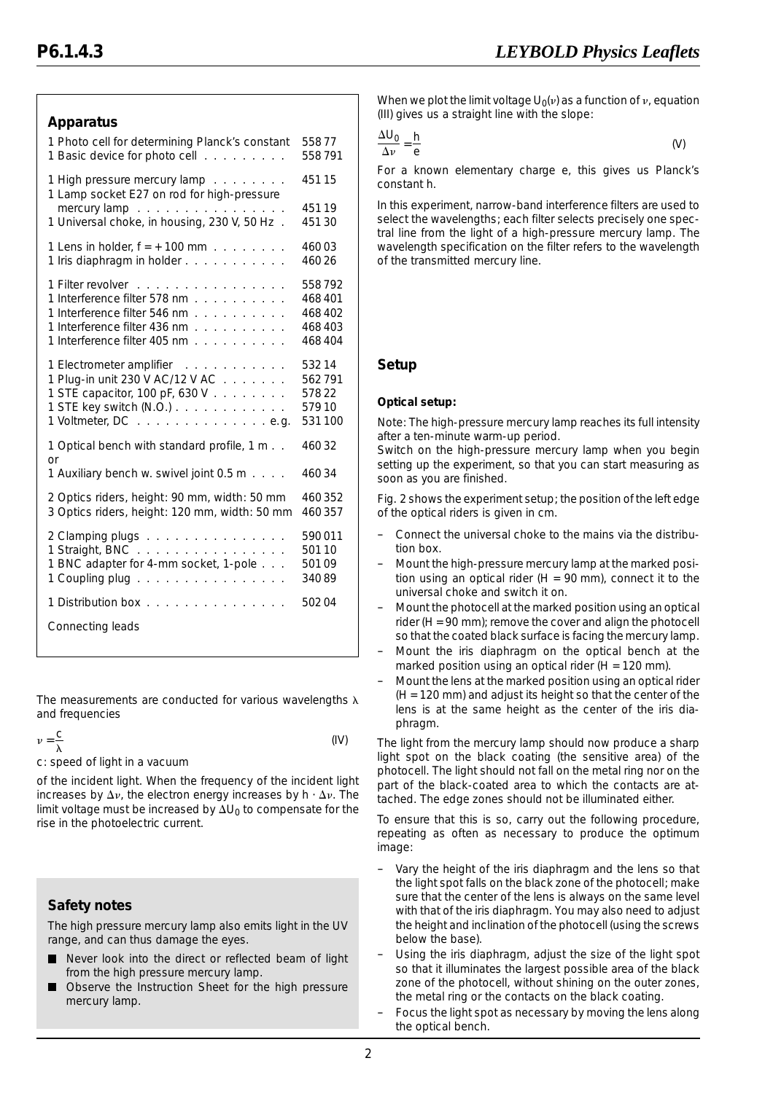## **Apparatus**

| 1 Photo cell for determining Planck's constant                             | 55877  |
|----------------------------------------------------------------------------|--------|
| 1 Basic device for photo cell                                              | 558791 |
| 1 High pressure mercury lamp<br>1 Lamp socket E27 on rod for high-pressure | 45115  |
| mercury lamp                                                               | 45119  |
| 1 Universal choke, in housing, 230 V, 50 Hz.                               | 45130  |
| 1 Lens in holder, $f = +100$ mm $\ldots \ldots \ldots$                     | 46003  |
| 1 Iris diaphragm in holder                                                 | 46026  |
| 1 Filter revolver                                                          | 558792 |
| 1 Interference filter 578 nm                                               | 468401 |
| 1 Interference filter 546 nm                                               | 468402 |
| 1 Interference filter 436 nm                                               | 468403 |
| 1 Interference filter 405 nm                                               | 468404 |
| 1 Electrometer amplifier                                                   | 53214  |
| 1 Plug-in unit 230 V AC/12 V AC                                            | 562791 |
| 1 STE capacitor, 100 pF, 630 V                                             | 57822  |
| 1 STE key switch (N.O.)                                                    | 57910  |
| 1 Voltmeter, DC e.g.                                                       | 531100 |
| 1 Optical bench with standard profile, 1 m<br>or                           | 46032  |
| 1 Auxiliary bench w. swivel joint 0.5 m                                    | 46034  |
| 2 Optics riders, height: 90 mm, width: 50 mm                               | 460352 |
| 3 Optics riders, height: 120 mm, width: 50 mm                              | 460357 |
| 2 Clamping plugs                                                           | 590011 |
| 1 Straight, BNC                                                            | 50110  |
| 1 BNC adapter for 4-mm socket, 1-pole                                      | 50109  |
| 1 Coupling plug                                                            | 34089  |
| 1 Distribution box                                                         | 50204  |
| Connecting leads                                                           |        |
|                                                                            |        |

The measurements are conducted for various wavelengths  $\lambda$ and frequencies

$$
\nu = \frac{C}{\lambda} \tag{IV}
$$

*c:* speed of light in a vacuum

of the incident light. When the frequency of the incident light increases by  $\Delta v$ , the electron energy increases by  $h \cdot \Delta v$ . The limit voltage must be increased by  $\Delta U_0$  to compensate for the rise in the photoelectric current.

## **Safety notes**

The high pressure mercury lamp also emits light in the UV range, and can thus damage the eyes.

- Never look into the direct or reflected beam of light  $\blacksquare$ from the high pressure mercury lamp.
- Observe the Instruction Sheet for the high pressure mercury lamp.

When we plot the limit voltage  $U_0(v)$  as a function of  $v$ , equation (III) gives us a straight line with the slope:

$$
\frac{\Delta U_0}{\Delta v} = \frac{h}{e} \tag{V}
$$

For a known elementary charge *e,* this gives us Planck's constant *h.*

In this experiment, narrow-band interference filters are used to select the wavelengths; each filter selects precisely one spectral line from the light of a high-pressure mercury lamp. The wavelength specification on the filter refers to the wavelength of the transmitted mercury line.

## **Setup**

#### **Optical setup:**

*Note: The high-pressure mercury lamp reaches its full intensity after a ten-minute warm-up period.*

*Switch on the high-pressure mercury lamp when you begin setting up the experiment, so that you can start measuring as soon as you are finished.*

Fig. 2 shows the experiment setup; the position of the left edge of the optical riders is given in cm.

- Connect the universal choke to the mains via the distribution box.
- Mount the high-pressure mercury lamp at the marked position using an optical rider ( $H = 90$  mm), connect it to the universal choke and switch it on.
- Mount the photocell at the marked position using an optical rider ( $H = 90$  mm); remove the cover and align the photocell so that the coated black surface is facing the mercury lamp.
- Mount the iris diaphragm on the optical bench at the marked position using an optical rider ( $H = 120$  mm).
- Mount the lens at the marked position using an optical rider (H = 120 mm) and adjust its height so that the center of the lens is at the same height as the center of the iris diaphragm.

The light from the mercury lamp should now produce a sharp light spot on the black coating (the sensitive area) of the photocell. The light should not fall on the metal ring nor on the part of the black-coated area to which the contacts are attached. The edge zones should not be illuminated either.

To ensure that this is so, carry out the following procedure, repeating as often as necessary to produce the optimum image:

- Vary the height of the iris diaphragm and the lens so that the light spot falls on the black zone of the photocell; make sure that the center of the lens is always on the same level with that of the iris diaphragm. You may also need to adjust the height and inclination of the photocell (using the screws below the base).
- Using the iris diaphragm, adjust the size of the light spot so that it illuminates the largest possible area of the black zone of the photocell, without shining on the outer zones, the metal ring or the contacts on the black coating.
- Focus the light spot as necessary by moving the lens along the optical bench.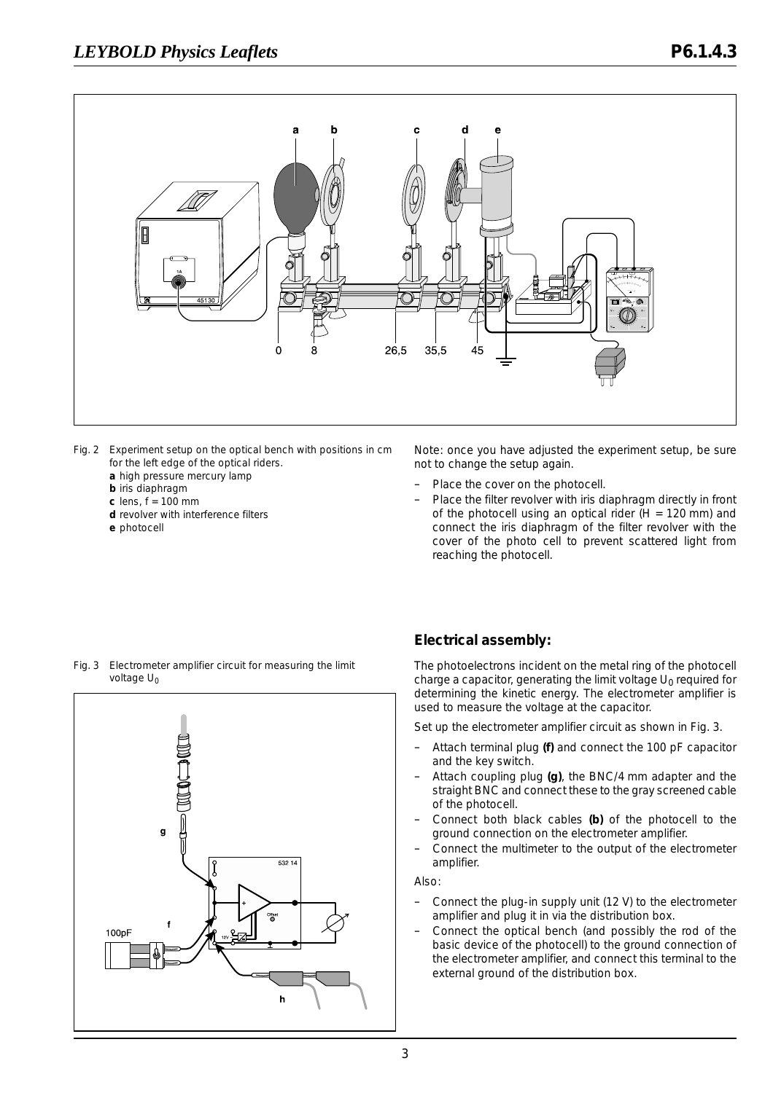

- Fig. 2 Experiment setup on the optical bench with positions in cm for the left edge of the optical riders.
	- **a** high pressure mercury lamp
	- **b** iris diaphragm
	- **c** lens, *f* = 100 mm
	- **d** revolver with interference filters
	- **e** photocell

*Note: once you have adjusted the experiment setup, be sure not to change the setup again.*

- Place the cover on the photocell.
- Place the filter revolver with iris diaphragm directly in front of the photocell using an optical rider ( $H = 120$  mm) and connect the iris diaphragm of the filter revolver with the cover of the photo cell to prevent scattered light from reaching the photocell.





### **Electrical assembly:**

The photoelectrons incident on the metal ring of the photocell charge a capacitor, generating the limit voltage U<sub>0</sub> required for determining the kinetic energy. The electrometer amplifier is used to measure the voltage at the capacitor.

Set up the electrometer amplifier circuit as shown in Fig. 3.

- Attach terminal plug **(f)** and connect the 100 pF capacitor and the key switch.
- Attach coupling plug **(g)**, the BNC/4 mm adapter and the straight BNC and connect these to the gray screened cable of the photocell.
- Connect both black cables **(b)** of the photocell to the ground connection on the electrometer amplifier.
- Connect the multimeter to the output of the electrometer amplifier.

Also:

- Connect the plug-in supply unit (12 V) to the electrometer amplifier and plug it in via the distribution box.
- Connect the optical bench (and possibly the rod of the basic device of the photocell) to the ground connection of the electrometer amplifier, and connect this terminal to the external ground of the distribution box.